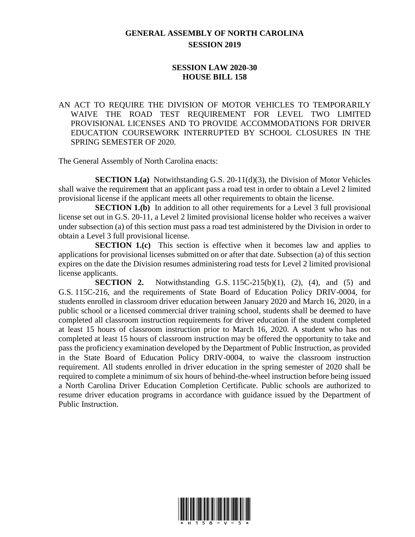## **GENERAL ASSEMBLY OF NORTH CAROLINA SESSION 2019**

## **SESSION LAW 2020-30 HOUSE BILL 158**

AN ACT TO REQUIRE THE DIVISION OF MOTOR VEHICLES TO TEMPORARILY WAIVE THE ROAD TEST REQUIREMENT FOR LEVEL TWO LIMITED PROVISIONAL LICENSES AND TO PROVIDE ACCOMMODATIONS FOR DRIVER EDUCATION COURSEWORK INTERRUPTED BY SCHOOL CLOSURES IN THE SPRING SEMESTER OF 2020.

The General Assembly of North Carolina enacts:

**SECTION 1.(a)** Notwithstanding G.S. 20-11(d)(3), the Division of Motor Vehicles shall waive the requirement that an applicant pass a road test in order to obtain a Level 2 limited provisional license if the applicant meets all other requirements to obtain the license.

**SECTION 1.(b)** In addition to all other requirements for a Level 3 full provisional license set out in G.S. 20-11, a Level 2 limited provisional license holder who receives a waiver under subsection (a) of this section must pass a road test administered by the Division in order to obtain a Level 3 full provisional license.

**SECTION 1.(c)** This section is effective when it becomes law and applies to applications for provisional licenses submitted on or after that date. Subsection (a) of this section expires on the date the Division resumes administering road tests for Level 2 limited provisional license applicants.

**SECTION 2.** Notwithstanding G.S. 115C-215(b)(1), (2), (4), and (5) and G.S. 115C-216, and the requirements of State Board of Education Policy DRIV-0004, for students enrolled in classroom driver education between January 2020 and March 16, 2020, in a public school or a licensed commercial driver training school, students shall be deemed to have completed all classroom instruction requirements for driver education if the student completed at least 15 hours of classroom instruction prior to March 16, 2020. A student who has not completed at least 15 hours of classroom instruction may be offered the opportunity to take and pass the proficiency examination developed by the Department of Public Instruction, as provided in the State Board of Education Policy DRIV-0004, to waive the classroom instruction requirement. All students enrolled in driver education in the spring semester of 2020 shall be required to complete a minimum of six hours of behind-the-wheel instruction before being issued a North Carolina Driver Education Completion Certificate. Public schools are authorized to resume driver education programs in accordance with guidance issued by the Department of Public Instruction.